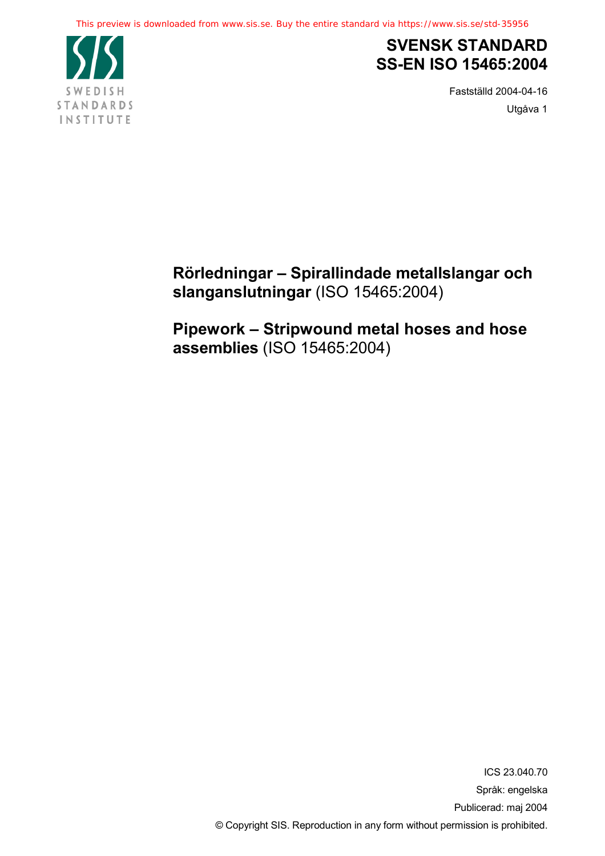

# **SVENSK STANDARD SS-EN ISO 15465:2004**

Fastställd 2004-04-16 Utgåva 1

**Rörledningar – Spirallindade metallslangar och slanganslutningar** (ISO 15465:2004)

**Pipework – Stripwound metal hoses and hose assemblies** (ISO 15465:2004)

> ICS 23.040.70 Språk: engelska Publicerad: maj 2004 © Copyright SIS. Reproduction in any form without permission is prohibited.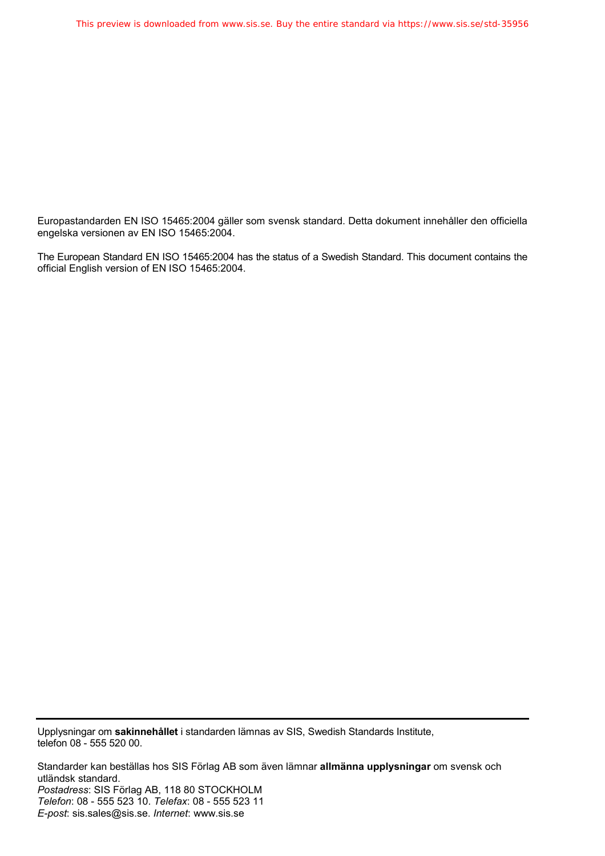Europastandarden EN ISO 15465:2004 gäller som svensk standard. Detta dokument innehåller den officiella engelska versionen av EN ISO 15465:2004.

The European Standard EN ISO 15465:2004 has the status of a Swedish Standard. This document contains the official English version of EN ISO 15465:2004.

Upplysningar om **sakinnehållet** i standarden lämnas av SIS, Swedish Standards Institute, telefon 08 - 555 520 00.

Standarder kan beställas hos SIS Förlag AB som även lämnar **allmänna upplysningar** om svensk och utländsk standard. *Postadress*: SIS Förlag AB, 118 80 STOCKHOLM *Telefon*: 08 - 555 523 10. *Telefax*: 08 - 555 523 11 *E-post*: sis.sales@sis.se. *Internet*: www.sis.se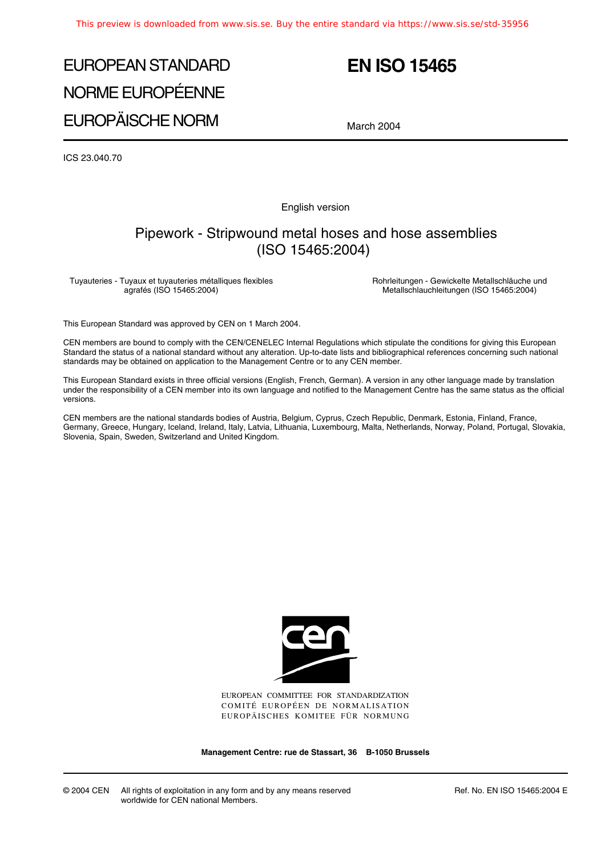# EUROPEAN STANDARD NORME EUROPÉENNE EUROPÄISCHE NORM

# **EN ISO 15465**

March 2004

ICS 23.040.70

English version

### Pipework - Stripwound metal hoses and hose assemblies (ISO 15465:2004)

Tuyauteries - Tuyaux et tuyauteries métalliques flexibles agrafés (ISO 15465:2004)

Rohrleitungen - Gewickelte Metallschläuche und Metallschlauchleitungen (ISO 15465:2004)

This European Standard was approved by CEN on 1 March 2004.

CEN members are bound to comply with the CEN/CENELEC Internal Regulations which stipulate the conditions for giving this European Standard the status of a national standard without any alteration. Up-to-date lists and bibliographical references concerning such national standards may be obtained on application to the Management Centre or to any CEN member.

This European Standard exists in three official versions (English, French, German). A version in any other language made by translation under the responsibility of a CEN member into its own language and notified to the Management Centre has the same status as the official versions.

CEN members are the national standards bodies of Austria, Belgium, Cyprus, Czech Republic, Denmark, Estonia, Finland, France, Germany, Greece, Hungary, Iceland, Ireland, Italy, Latvia, Lithuania, Luxembourg, Malta, Netherlands, Norway, Poland, Portugal, Slovakia, Slovenia, Spain, Sweden, Switzerland and United Kingdom.



EUROPEAN COMMITTEE FOR STANDARDIZATION COMITÉ EUROPÉEN DE NORMALISATION EUROPÄISCHES KOMITEE FÜR NORMUNG

**Management Centre: rue de Stassart, 36 B-1050 Brussels**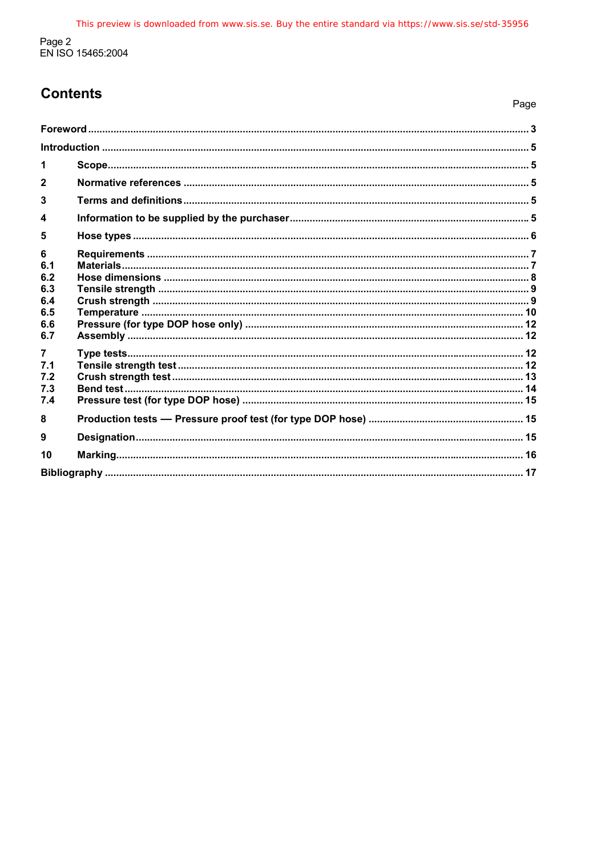# **Contents**

| $\mathbf{2}$   |  |  |
|----------------|--|--|
| $\mathbf{3}$   |  |  |
| 4              |  |  |
| 5              |  |  |
| 6              |  |  |
| 6.1<br>6.2     |  |  |
| 6.3            |  |  |
| 6.4            |  |  |
| 6.5            |  |  |
| 6.6            |  |  |
| 6.7            |  |  |
| $\overline{7}$ |  |  |
| 7.1            |  |  |
| 7.2            |  |  |
| 7.3            |  |  |
| 7.4            |  |  |
| 8              |  |  |
| 9              |  |  |
| 10             |  |  |
|                |  |  |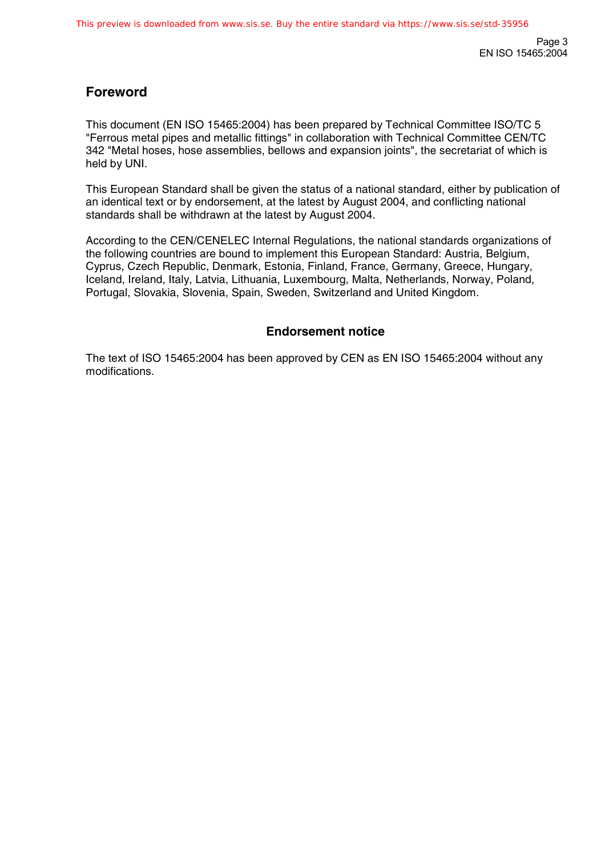### **Foreword**

This document (EN ISO 15465:2004) has been prepared by Technical Committee ISO/TC 5 "Ferrous metal pipes and metallic fittings" in collaboration with Technical Committee CEN/TC 342 "Metal hoses, hose assemblies, bellows and expansion joints", the secretariat of which is held by UNI.

This European Standard shall be given the status of a national standard, either by publication of an identical text or by endorsement, at the latest by August 2004, and conflicting national standards shall be withdrawn at the latest by August 2004.

According to the CEN/CENELEC Internal Regulations, the national standards organizations of the following countries are bound to implement this European Standard: Austria, Belgium, Cyprus, Czech Republic, Denmark, Estonia, Finland, France, Germany, Greece, Hungary, Iceland, Ireland, Italy, Latvia, Lithuania, Luxembourg, Malta, Netherlands, Norway, Poland, Portugal, Slovakia, Slovenia, Spain, Sweden, Switzerland and United Kingdom.

### **Endorsement notice**

The text of ISO 15465:2004 has been approved by CEN as EN ISO 15465:2004 without any modifications.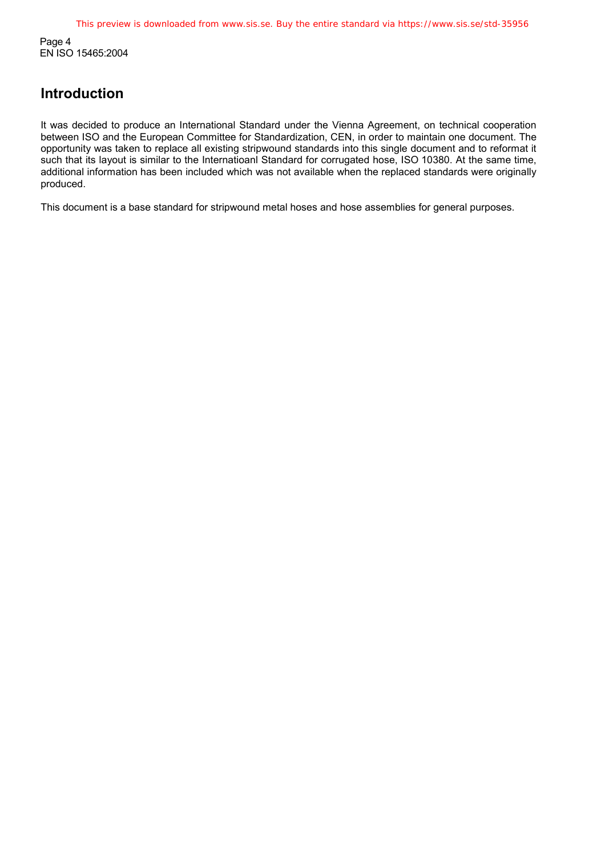Page 4 EN ISO 15465:2004

### **Introduction**

It was decided to produce an International Standard under the Vienna Agreement, on technical cooperation between ISO and the European Committee for Standardization, CEN, in order to maintain one document. The opportunity was taken to replace all existing stripwound standards into this single document and to reformat it such that its layout is similar to the Internatioanl Standard for corrugated hose, ISO 10380. At the same time, additional information has been included which was not available when the replaced standards were originally produced.

This document is a base standard for stripwound metal hoses and hose assemblies for general purposes.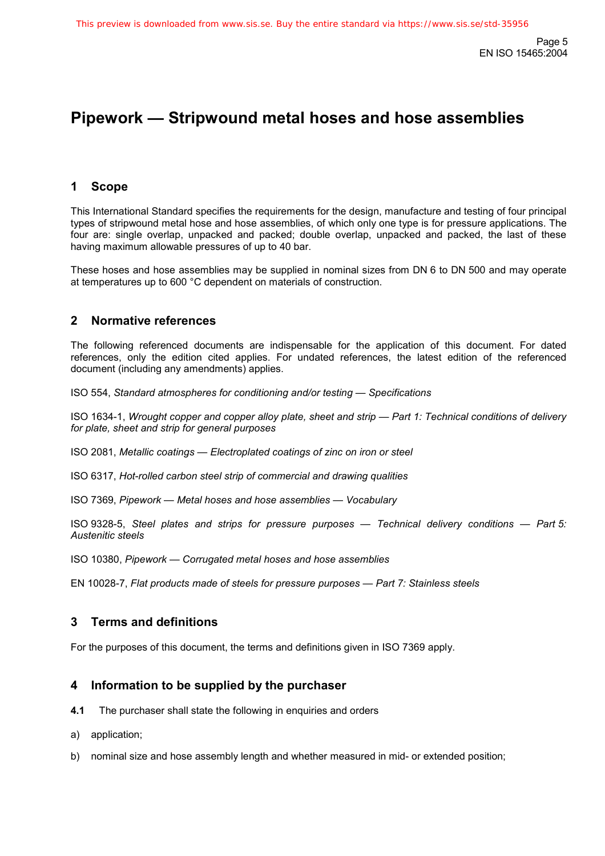# **Pipework — Stripwound metal hoses and hose assemblies**

### **1 Scope**

This International Standard specifies the requirements for the design, manufacture and testing of four principal types of stripwound metal hose and hose assemblies, of which only one type is for pressure applications. The four are: single overlap, unpacked and packed; double overlap, unpacked and packed, the last of these having maximum allowable pressures of up to 40 bar.

These hoses and hose assemblies may be supplied in nominal sizes from DN 6 to DN 500 and may operate at temperatures up to 600 °C dependent on materials of construction.

### **2 Normative references**

The following referenced documents are indispensable for the application of this document. For dated references, only the edition cited applies. For undated references, the latest edition of the referenced document (including any amendments) applies.

ISO 554, *Standard atmospheres for conditioning and/or testing — Specifications*

ISO 1634-1, *Wrought copper and copper alloy plate, sheet and strip — Part 1: Technical conditions of delivery for plate, sheet and strip for general purposes*

ISO 2081, *Metallic coatings — Electroplated coatings of zinc on iron or steel*

ISO 6317, *Hot-rolled carbon steel strip of commercial and drawing qualities*

ISO 7369, *Pipework — Metal hoses and hose assemblies — Vocabulary*

ISO 9328-5, *Steel plates and strips for pressure purposes — Technical delivery conditions — Part 5: Austenitic steels*

ISO 10380, *Pipework — Corrugated metal hoses and hose assemblies*

EN 10028-7, *Flat products made of steels for pressure purposes — Part 7: Stainless steels*

#### **3 Terms and definitions**

For the purposes of this document, the terms and definitions given in ISO 7369 apply.

#### **4 Information to be supplied by the purchaser**

- **4.1** The purchaser shall state the following in enquiries and orders
- a) application;
- b) nominal size and hose assembly length and whether measured in mid- or extended position;